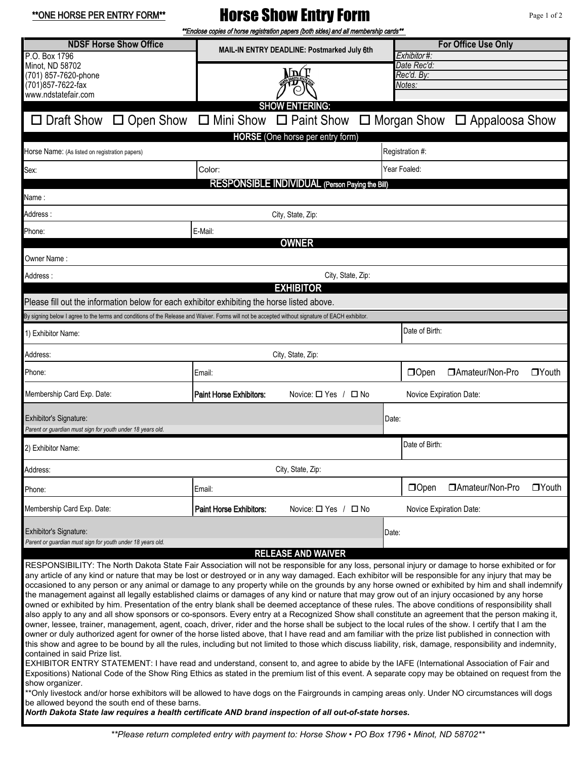\*\*ONE HORSE PER ENTRY FORM\*\*

## Horse Show Entry Form

Page 1 of 2

|                                                                                                                                                                                                                                                                                                                                                                                                                                                                                                                                                                                                                                                                                                                                                                                                                                                                                                                                                                                                                                                                                                                                                                                                                                                                                                                                                                                                                                                                                                                                                                                                                                                                                                                                                                                                                                                                                                                                                                         | **Enclose copies of horse registration papers (both sides) and all membership cards** |                                |  |                                           |                  |              |  |  |  |
|-------------------------------------------------------------------------------------------------------------------------------------------------------------------------------------------------------------------------------------------------------------------------------------------------------------------------------------------------------------------------------------------------------------------------------------------------------------------------------------------------------------------------------------------------------------------------------------------------------------------------------------------------------------------------------------------------------------------------------------------------------------------------------------------------------------------------------------------------------------------------------------------------------------------------------------------------------------------------------------------------------------------------------------------------------------------------------------------------------------------------------------------------------------------------------------------------------------------------------------------------------------------------------------------------------------------------------------------------------------------------------------------------------------------------------------------------------------------------------------------------------------------------------------------------------------------------------------------------------------------------------------------------------------------------------------------------------------------------------------------------------------------------------------------------------------------------------------------------------------------------------------------------------------------------------------------------------------------------|---------------------------------------------------------------------------------------|--------------------------------|--|-------------------------------------------|------------------|--------------|--|--|--|
| <b>NDSF Horse Show Office</b><br>P.O. Box 1796                                                                                                                                                                                                                                                                                                                                                                                                                                                                                                                                                                                                                                                                                                                                                                                                                                                                                                                                                                                                                                                                                                                                                                                                                                                                                                                                                                                                                                                                                                                                                                                                                                                                                                                                                                                                                                                                                                                          | MAIL-IN ENTRY DEADLINE: Postmarked July 6th                                           |                                |  | <b>For Office Use Only</b><br>Exhibitor#: |                  |              |  |  |  |
| Minot, ND 58702<br>(701) 857-7620-phone<br>(701) 857-7622-fax                                                                                                                                                                                                                                                                                                                                                                                                                                                                                                                                                                                                                                                                                                                                                                                                                                                                                                                                                                                                                                                                                                                                                                                                                                                                                                                                                                                                                                                                                                                                                                                                                                                                                                                                                                                                                                                                                                           | ML                                                                                    |                                |  | Date Rec'd:<br>Rec'd. By:<br>Notes:       |                  |              |  |  |  |
| www.ndstatefair.com                                                                                                                                                                                                                                                                                                                                                                                                                                                                                                                                                                                                                                                                                                                                                                                                                                                                                                                                                                                                                                                                                                                                                                                                                                                                                                                                                                                                                                                                                                                                                                                                                                                                                                                                                                                                                                                                                                                                                     |                                                                                       | <b>SHOW ENTERING:</b>          |  |                                           |                  |              |  |  |  |
| □ Draft Show □ Open Show □ Mini Show □ Paint Show □ Morgan Show □ Appaloosa Show                                                                                                                                                                                                                                                                                                                                                                                                                                                                                                                                                                                                                                                                                                                                                                                                                                                                                                                                                                                                                                                                                                                                                                                                                                                                                                                                                                                                                                                                                                                                                                                                                                                                                                                                                                                                                                                                                        |                                                                                       |                                |  |                                           |                  |              |  |  |  |
|                                                                                                                                                                                                                                                                                                                                                                                                                                                                                                                                                                                                                                                                                                                                                                                                                                                                                                                                                                                                                                                                                                                                                                                                                                                                                                                                                                                                                                                                                                                                                                                                                                                                                                                                                                                                                                                                                                                                                                         |                                                                                       |                                |  |                                           |                  |              |  |  |  |
| <b>HORSE</b> (One horse per entry form)<br>Horse Name: (As listed on registration papers)                                                                                                                                                                                                                                                                                                                                                                                                                                                                                                                                                                                                                                                                                                                                                                                                                                                                                                                                                                                                                                                                                                                                                                                                                                                                                                                                                                                                                                                                                                                                                                                                                                                                                                                                                                                                                                                                               |                                                                                       |                                |  | Registration #:                           |                  |              |  |  |  |
| Sex:                                                                                                                                                                                                                                                                                                                                                                                                                                                                                                                                                                                                                                                                                                                                                                                                                                                                                                                                                                                                                                                                                                                                                                                                                                                                                                                                                                                                                                                                                                                                                                                                                                                                                                                                                                                                                                                                                                                                                                    | Color:                                                                                |                                |  | Year Foaled:                              |                  |              |  |  |  |
| RESPONSIBLE INDIVIDUAL (Person Paying the Bill)                                                                                                                                                                                                                                                                                                                                                                                                                                                                                                                                                                                                                                                                                                                                                                                                                                                                                                                                                                                                                                                                                                                                                                                                                                                                                                                                                                                                                                                                                                                                                                                                                                                                                                                                                                                                                                                                                                                         |                                                                                       |                                |  |                                           |                  |              |  |  |  |
| Name :                                                                                                                                                                                                                                                                                                                                                                                                                                                                                                                                                                                                                                                                                                                                                                                                                                                                                                                                                                                                                                                                                                                                                                                                                                                                                                                                                                                                                                                                                                                                                                                                                                                                                                                                                                                                                                                                                                                                                                  |                                                                                       |                                |  |                                           |                  |              |  |  |  |
| Address:<br>City, State, Zip:                                                                                                                                                                                                                                                                                                                                                                                                                                                                                                                                                                                                                                                                                                                                                                                                                                                                                                                                                                                                                                                                                                                                                                                                                                                                                                                                                                                                                                                                                                                                                                                                                                                                                                                                                                                                                                                                                                                                           |                                                                                       |                                |  |                                           |                  |              |  |  |  |
| Phone:<br>E-Mail:                                                                                                                                                                                                                                                                                                                                                                                                                                                                                                                                                                                                                                                                                                                                                                                                                                                                                                                                                                                                                                                                                                                                                                                                                                                                                                                                                                                                                                                                                                                                                                                                                                                                                                                                                                                                                                                                                                                                                       |                                                                                       |                                |  |                                           |                  |              |  |  |  |
|                                                                                                                                                                                                                                                                                                                                                                                                                                                                                                                                                                                                                                                                                                                                                                                                                                                                                                                                                                                                                                                                                                                                                                                                                                                                                                                                                                                                                                                                                                                                                                                                                                                                                                                                                                                                                                                                                                                                                                         |                                                                                       | <b>OWNER</b>                   |  |                                           |                  |              |  |  |  |
| Owner Name :                                                                                                                                                                                                                                                                                                                                                                                                                                                                                                                                                                                                                                                                                                                                                                                                                                                                                                                                                                                                                                                                                                                                                                                                                                                                                                                                                                                                                                                                                                                                                                                                                                                                                                                                                                                                                                                                                                                                                            |                                                                                       |                                |  |                                           |                  |              |  |  |  |
| Address :                                                                                                                                                                                                                                                                                                                                                                                                                                                                                                                                                                                                                                                                                                                                                                                                                                                                                                                                                                                                                                                                                                                                                                                                                                                                                                                                                                                                                                                                                                                                                                                                                                                                                                                                                                                                                                                                                                                                                               | City, State, Zip:<br><b>EXHIBITOR</b>                                                 |                                |  |                                           |                  |              |  |  |  |
| Please fill out the information below for each exhibitor exhibiting the horse listed above.                                                                                                                                                                                                                                                                                                                                                                                                                                                                                                                                                                                                                                                                                                                                                                                                                                                                                                                                                                                                                                                                                                                                                                                                                                                                                                                                                                                                                                                                                                                                                                                                                                                                                                                                                                                                                                                                             |                                                                                       |                                |  |                                           |                  |              |  |  |  |
| By signing below I agree to the terms and conditions of the Release and Waiver. Forms will not be accepted without signature of EACH exhibitor.                                                                                                                                                                                                                                                                                                                                                                                                                                                                                                                                                                                                                                                                                                                                                                                                                                                                                                                                                                                                                                                                                                                                                                                                                                                                                                                                                                                                                                                                                                                                                                                                                                                                                                                                                                                                                         |                                                                                       |                                |  |                                           |                  |              |  |  |  |
| 1) Exhibitor Name:                                                                                                                                                                                                                                                                                                                                                                                                                                                                                                                                                                                                                                                                                                                                                                                                                                                                                                                                                                                                                                                                                                                                                                                                                                                                                                                                                                                                                                                                                                                                                                                                                                                                                                                                                                                                                                                                                                                                                      |                                                                                       |                                |  | Date of Birth:                            |                  |              |  |  |  |
| Address:<br>City, State, Zip:                                                                                                                                                                                                                                                                                                                                                                                                                                                                                                                                                                                                                                                                                                                                                                                                                                                                                                                                                                                                                                                                                                                                                                                                                                                                                                                                                                                                                                                                                                                                                                                                                                                                                                                                                                                                                                                                                                                                           |                                                                                       |                                |  |                                           |                  |              |  |  |  |
| Phone:                                                                                                                                                                                                                                                                                                                                                                                                                                                                                                                                                                                                                                                                                                                                                                                                                                                                                                                                                                                                                                                                                                                                                                                                                                                                                                                                                                                                                                                                                                                                                                                                                                                                                                                                                                                                                                                                                                                                                                  | Email:                                                                                |                                |  | $\Box$ Open                               | □Amateur/Non-Pro | $\Box$ Youth |  |  |  |
| Membership Card Exp. Date:                                                                                                                                                                                                                                                                                                                                                                                                                                                                                                                                                                                                                                                                                                                                                                                                                                                                                                                                                                                                                                                                                                                                                                                                                                                                                                                                                                                                                                                                                                                                                                                                                                                                                                                                                                                                                                                                                                                                              | <b>Paint Horse Exhibitors:</b>                                                        | Novice: $\Box$ Yes / $\Box$ No |  | Novice Expiration Date:                   |                  |              |  |  |  |
| Exhibitor's Signature:<br>Date:<br>Parent or guardian must sign for youth under 18 years old.                                                                                                                                                                                                                                                                                                                                                                                                                                                                                                                                                                                                                                                                                                                                                                                                                                                                                                                                                                                                                                                                                                                                                                                                                                                                                                                                                                                                                                                                                                                                                                                                                                                                                                                                                                                                                                                                           |                                                                                       |                                |  |                                           |                  |              |  |  |  |
| 2) Exhibitor Name:                                                                                                                                                                                                                                                                                                                                                                                                                                                                                                                                                                                                                                                                                                                                                                                                                                                                                                                                                                                                                                                                                                                                                                                                                                                                                                                                                                                                                                                                                                                                                                                                                                                                                                                                                                                                                                                                                                                                                      |                                                                                       |                                |  | Date of Birth:                            |                  |              |  |  |  |
| Address:                                                                                                                                                                                                                                                                                                                                                                                                                                                                                                                                                                                                                                                                                                                                                                                                                                                                                                                                                                                                                                                                                                                                                                                                                                                                                                                                                                                                                                                                                                                                                                                                                                                                                                                                                                                                                                                                                                                                                                |                                                                                       | City, State, Zip:              |  |                                           |                  |              |  |  |  |
| Phone:                                                                                                                                                                                                                                                                                                                                                                                                                                                                                                                                                                                                                                                                                                                                                                                                                                                                                                                                                                                                                                                                                                                                                                                                                                                                                                                                                                                                                                                                                                                                                                                                                                                                                                                                                                                                                                                                                                                                                                  | Email:                                                                                |                                |  | $\Box$ Open                               | □Amateur/Non-Pro | $\Box$ Youth |  |  |  |
| Membership Card Exp. Date:                                                                                                                                                                                                                                                                                                                                                                                                                                                                                                                                                                                                                                                                                                                                                                                                                                                                                                                                                                                                                                                                                                                                                                                                                                                                                                                                                                                                                                                                                                                                                                                                                                                                                                                                                                                                                                                                                                                                              | Paint Horse Exhibitors:                                                               | Novice: $\Box$ Yes / $\Box$ No |  | Novice Expiration Date:                   |                  |              |  |  |  |
| Exhibitor's Signature:                                                                                                                                                                                                                                                                                                                                                                                                                                                                                                                                                                                                                                                                                                                                                                                                                                                                                                                                                                                                                                                                                                                                                                                                                                                                                                                                                                                                                                                                                                                                                                                                                                                                                                                                                                                                                                                                                                                                                  |                                                                                       |                                |  | Date:                                     |                  |              |  |  |  |
| Parent or guardian must sign for youth under 18 years old.<br><b>RELEASE AND WAIVER</b>                                                                                                                                                                                                                                                                                                                                                                                                                                                                                                                                                                                                                                                                                                                                                                                                                                                                                                                                                                                                                                                                                                                                                                                                                                                                                                                                                                                                                                                                                                                                                                                                                                                                                                                                                                                                                                                                                 |                                                                                       |                                |  |                                           |                  |              |  |  |  |
| RESPONSIBILITY: The North Dakota State Fair Association will not be responsible for any loss, personal injury or damage to horse exhibited or for<br>any article of any kind or nature that may be lost or destroyed or in any way damaged. Each exhibitor will be responsible for any injury that may be<br>occasioned to any person or any animal or damage to any property while on the grounds by any horse owned or exhibited by him and shall indemnify<br>the management against all legally established claims or damages of any kind or nature that may grow out of an injury occasioned by any horse<br>owned or exhibited by him. Presentation of the entry blank shall be deemed acceptance of these rules. The above conditions of responsibility shall<br>also apply to any and all show sponsors or co-sponsors. Every entry at a Recognized Show shall constitute an agreement that the person making it,<br>owner, lessee, trainer, management, agent, coach, driver, rider and the horse shall be subject to the local rules of the show. I certify that I am the<br>owner or duly authorized agent for owner of the horse listed above, that I have read and am familiar with the prize list published in connection with<br>this show and agree to be bound by all the rules, including but not limited to those which discuss liability, risk, damage, responsibility and indemnity,<br>contained in said Prize list.<br>EXHIBITOR ENTRY STATEMENT: I have read and understand, consent to, and agree to abide by the IAFE (International Association of Fair and<br>Expositions) National Code of the Show Ring Ethics as stated in the premium list of this event. A separate copy may be obtained on request from the<br>show organizer.<br>**Only livestock and/or horse exhibitors will be allowed to have dogs on the Fairgrounds in camping areas only. Under NO circumstances will dogs<br>be allowed beyond the south end of these barns. |                                                                                       |                                |  |                                           |                  |              |  |  |  |
| North Dakota State law requires a health certificate AND brand inspection of all out-of-state horses.                                                                                                                                                                                                                                                                                                                                                                                                                                                                                                                                                                                                                                                                                                                                                                                                                                                                                                                                                                                                                                                                                                                                                                                                                                                                                                                                                                                                                                                                                                                                                                                                                                                                                                                                                                                                                                                                   |                                                                                       |                                |  |                                           |                  |              |  |  |  |